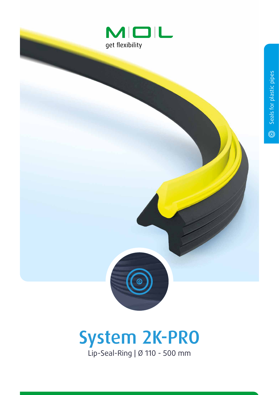



Lip-Seal-Ring | Ø 110 - 500 mm